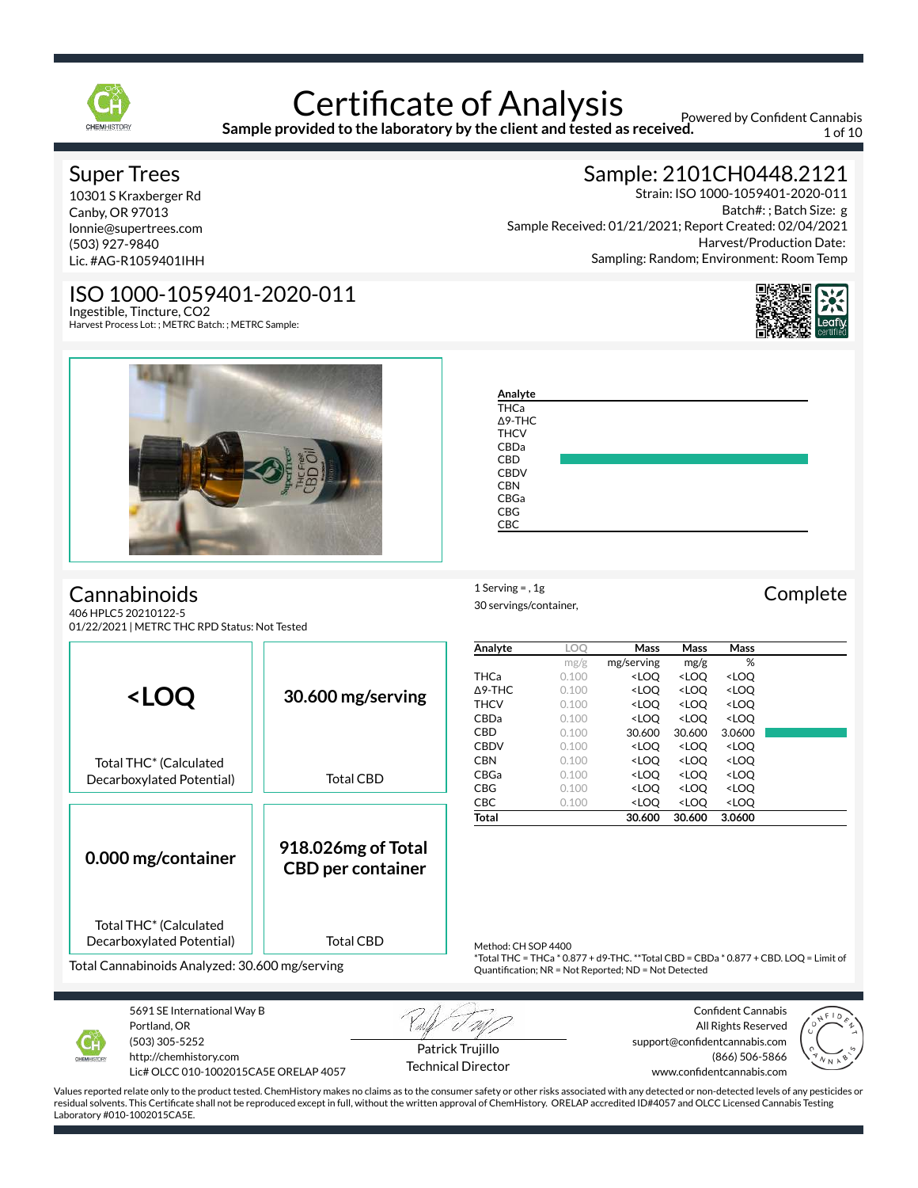

**Sample provided to the laboratory by the client and tested as received.**

Powered by Confident Cannabis 1 of 10

Batch#: ; Batch Size: g

Harvest/Production Date:

Sample: 2101CH0448.2121

Sampling: Random; Environment: Room Temp

Sample Received: 01/21/2021; Report Created: 02/04/2021

Strain: ISO 1000-1059401-2020-011

### Super Trees

10301 S Kraxberger Rd Canby, OR 97013 lonnie@supertrees.com (503) 927-9840 Lic. #AG-R1059401IHH

# ISO 1000-1059401-2020-011

Ingestible, Tincture, CO2 Harvest Process Lot: ; METRC Batch: ; METRC Sample:



 $\blacksquare$ 

# **Cannabinoids**

406 HPLC5 20210122-5 01/22/2021 | METRC THC RPD Status: Not Tested

| <b>THCa</b>    |  |  |  |
|----------------|--|--|--|
|                |  |  |  |
| $\Delta$ 9-THC |  |  |  |
| <b>THCV</b>    |  |  |  |
| CBDa           |  |  |  |
| <b>CBD</b>     |  |  |  |
| <b>CBDV</b>    |  |  |  |
| <b>CBN</b>     |  |  |  |
| CBGa           |  |  |  |
| <b>CBG</b>     |  |  |  |
| <b>CBC</b>     |  |  |  |

**Analyte LOQ Mass Mass Mass**

 $1$  Serving = , 1g<br>  $\text{Complete}$ 30 servings/container,

|                                                                                                                   |                                                |                   | mg/g                                                 | mg/serving                                                                           | mg/g                                                     | %                                                                                    |  |
|-------------------------------------------------------------------------------------------------------------------|------------------------------------------------|-------------------|------------------------------------------------------|--------------------------------------------------------------------------------------|----------------------------------------------------------|--------------------------------------------------------------------------------------|--|
|                                                                                                                   |                                                | <b>THCa</b>       | 0.100                                                | <loq< td=""><td><loq< td=""><td><loq< td=""><td></td></loq<></td></loq<></td></loq<> | <loq< td=""><td><loq< td=""><td></td></loq<></td></loq<> | <loq< td=""><td></td></loq<>                                                         |  |
| <b><loq< b=""></loq<></b>                                                                                         | 30.600 mg/serving                              | $\triangle$ 9-THC | 0.100                                                | <loq< td=""><td><loq< td=""><td><loq< td=""><td></td></loq<></td></loq<></td></loq<> | <loq< td=""><td><loq< td=""><td></td></loq<></td></loq<> | <loq< td=""><td></td></loq<>                                                         |  |
|                                                                                                                   |                                                | <b>THCV</b>       | 0.100                                                | <loo< td=""><td><loo< td=""><td><loo< td=""><td></td></loo<></td></loo<></td></loo<> | <loo< td=""><td><loo< td=""><td></td></loo<></td></loo<> | <loo< td=""><td></td></loo<>                                                         |  |
|                                                                                                                   |                                                | CBDa              | 0.100                                                | <loq< td=""><td><loq< td=""><td><loq< td=""><td></td></loq<></td></loq<></td></loq<> | <loq< td=""><td><loq< td=""><td></td></loq<></td></loq<> | <loq< td=""><td></td></loq<>                                                         |  |
|                                                                                                                   |                                                | <b>CBD</b>        | 0.100                                                | 30.600                                                                               | 30.600                                                   | 3.0600                                                                               |  |
|                                                                                                                   |                                                | <b>CBDV</b>       | 0.100                                                | <loq< th=""><th><loo< th=""><th><loo< th=""><th></th></loo<></th></loo<></th></loq<> | <loo< th=""><th><loo< th=""><th></th></loo<></th></loo<> | <loo< th=""><th></th></loo<>                                                         |  |
| Total THC <sup>*</sup> (Calculated                                                                                |                                                | <b>CBN</b>        | 0.100                                                | <loq< th=""><th><loq< th=""><th><loq< th=""><th></th></loq<></th></loq<></th></loq<> | <loq< th=""><th><loq< th=""><th></th></loq<></th></loq<> | <loq< th=""><th></th></loq<>                                                         |  |
| Decarboxylated Potential)                                                                                         | <b>Total CBD</b>                               | CBGa              | 0.100                                                | <loq< th=""><th><loq< th=""><th><loq< th=""><th></th></loq<></th></loq<></th></loq<> | <loq< th=""><th><loq< th=""><th></th></loq<></th></loq<> | <loq< th=""><th></th></loq<>                                                         |  |
|                                                                                                                   |                                                | <b>CBG</b>        | 0.100                                                | <loq< th=""><th><loq< th=""><th><loq< th=""><th></th></loq<></th></loq<></th></loq<> | <loq< th=""><th><loq< th=""><th></th></loq<></th></loq<> | <loq< th=""><th></th></loq<>                                                         |  |
|                                                                                                                   |                                                | CBC               | 0.100                                                | <loo< th=""><th><loq< th=""><th><loq< th=""><th></th></loq<></th></loq<></th></loo<> | <loq< th=""><th><loq< th=""><th></th></loq<></th></loq<> | <loq< th=""><th></th></loq<>                                                         |  |
|                                                                                                                   |                                                | <b>Total</b>      |                                                      | 30.600                                                                               | 30.600                                                   | 3.0600                                                                               |  |
| 0.000 mg/container                                                                                                | 918.026mg of Total<br><b>CBD per container</b> |                   |                                                      |                                                                                      |                                                          |                                                                                      |  |
| Total THC <sup>*</sup> (Calculated<br>Decarboxylated Potential)<br>Total Cannabinoids Analyzed: 30.600 mg/serving | Method: CH SOP 4400                            |                   | Quantification; NR = Not Reported; ND = Not Detected |                                                                                      |                                                          | *Total THC = THCa * 0.877 + d9-THC. **Total CBD = CBDa * 0.877 + CBD. LOQ = Limit of |  |
|                                                                                                                   |                                                |                   |                                                      |                                                                                      |                                                          |                                                                                      |  |



5691 SE International Way B Portland, OR (503) 305-5252 http://chemhistory.com

Lic# OLCC 010-1002015CA5E ORELAP 4057

Patrick Trujillo Technical Director

Confident Cannabis All Rights Reserved support@confidentcannabis.com (866) 506-5866 www.confidentcannabis.com

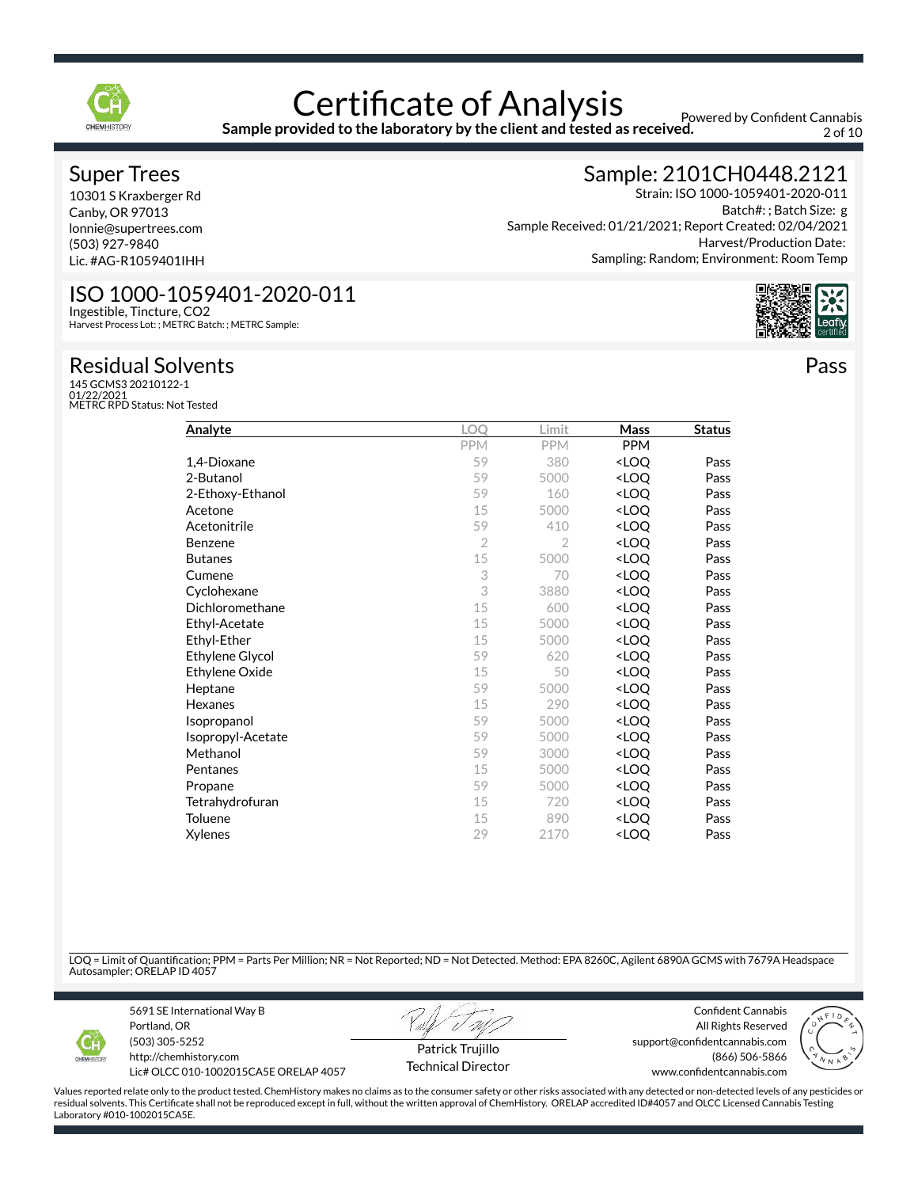

**Sample provided to the laboratory by the client and tested as received.**

Powered by Confident Cannabis 2 of 10

#### Super Trees

10301 S Kraxberger Rd Canby, OR 97013 lonnie@supertrees.com (503) 927-9840 Lic. #AG-R1059401IHH

## ISO 1000-1059401-2020-011

Ingestible, Tincture, CO2 Harvest Process Lot: ; METRC Batch: ; METRC Sample:

### Residual Solvents

145 GCMS3 20210122-1 01/22/2021 METRC RPD Status: Not Tested

| Analyte          |            | .imit                    | Mass                             | <b>Status</b> |
|------------------|------------|--------------------------|----------------------------------|---------------|
|                  | <b>PPM</b> | <b>PPM</b>               | <b>PPM</b>                       |               |
| 1,4-Dioxane      | 59         | 380                      | <loo< td=""><td>Pass</td></loo<> | Pass          |
| 2-Butanol        | 59         | 5000                     | <loo< td=""><td>Pass</td></loo<> | Pass          |
| 2-Ethoxy-Ethanol | 59         | 160                      | <loo< td=""><td>Pass</td></loo<> | Pass          |
| $\sim$ $\sim$    |            | $\overline{\phantom{a}}$ | $\sim$                           | -             |

| 2-Ethoxy-Ethanol  | 59             | 160  | <loq< th=""><th>Pass</th></loq<> | Pass |
|-------------------|----------------|------|----------------------------------|------|
| Acetone           | 15             | 5000 | <loq< th=""><th>Pass</th></loq<> | Pass |
| Acetonitrile      | 59             | 410  | <loq< th=""><th>Pass</th></loq<> | Pass |
| Benzene           | $\overline{2}$ | 2    | <loq< th=""><th>Pass</th></loq<> | Pass |
| Butanes           | 15             | 5000 | <loq< td=""><td>Pass</td></loq<> | Pass |
| Cumene            | 3              | 70   | <loq< td=""><td>Pass</td></loq<> | Pass |
| Cyclohexane       | 3              | 3880 | <loq< td=""><td>Pass</td></loq<> | Pass |
| Dichloromethane   | 15             | 600  | <loq< td=""><td>Pass</td></loq<> | Pass |
| Ethyl-Acetate     | 15             | 5000 | <loq< th=""><th>Pass</th></loq<> | Pass |
| Ethyl-Ether       | 15             | 5000 | <loq< td=""><td>Pass</td></loq<> | Pass |
| Ethylene Glycol   | 59             | 620  | <loq< th=""><th>Pass</th></loq<> | Pass |
| Ethylene Oxide    | 15             | 50   | <loq< td=""><td>Pass</td></loq<> | Pass |
| Heptane           | 59             | 5000 | <loq< th=""><th>Pass</th></loq<> | Pass |
| Hexanes           | 15             | 290  | <loq< th=""><th>Pass</th></loq<> | Pass |
| Isopropanol       | 59             | 5000 | <loq< th=""><th>Pass</th></loq<> | Pass |
| Isopropyl-Acetate | 59             | 5000 | <loq< th=""><th>Pass</th></loq<> | Pass |

### Sample: 2101CH0448.2121

Strain: ISO 1000-1059401-2020-011 Batch#: ; Batch Size: g Sample Received: 01/21/2021; Report Created: 02/04/2021 Harvest/Production Date: Sampling: Random; Environment: Room Temp



Pass

LOQ = Limit of Quantification; PPM = Parts Per Million; NR = Not Reported; ND = Not Detected. Method: EPA 8260C, Agilent 6890A GCMS with 7679A Headspace Autosampler; ORELAP ID 4057

Methanol 2000 **CLOQ** Pass Pentanes 2000 and 2000 and 2000 and 2000 and 2000 and 2000 and 2000 and 2000 and 2000 and 2000 and 2000 and 20 Propane 2000 and 2000 and 2000 and 2000 and 2000 and 2000 and 2000 and 2000 and 2000 and 2000 and 2000 and 200 Tetrahydrofuran 15 720 <LOQ Pass Toluene 15 890 <LOQ Pass  $\chi$ ylenes 29 2170 <LOQ Pass



5691 SE International Way B Portland, OR (503) 305-5252



Confident Cannabis All Rights Reserved support@confidentcannabis.com



http://chemhistory.com Lic# OLCC 010-1002015CA5E ORELAP 4057

Patrick Trujillo Technical Director

(866) 506-5866 www.confidentcannabis.com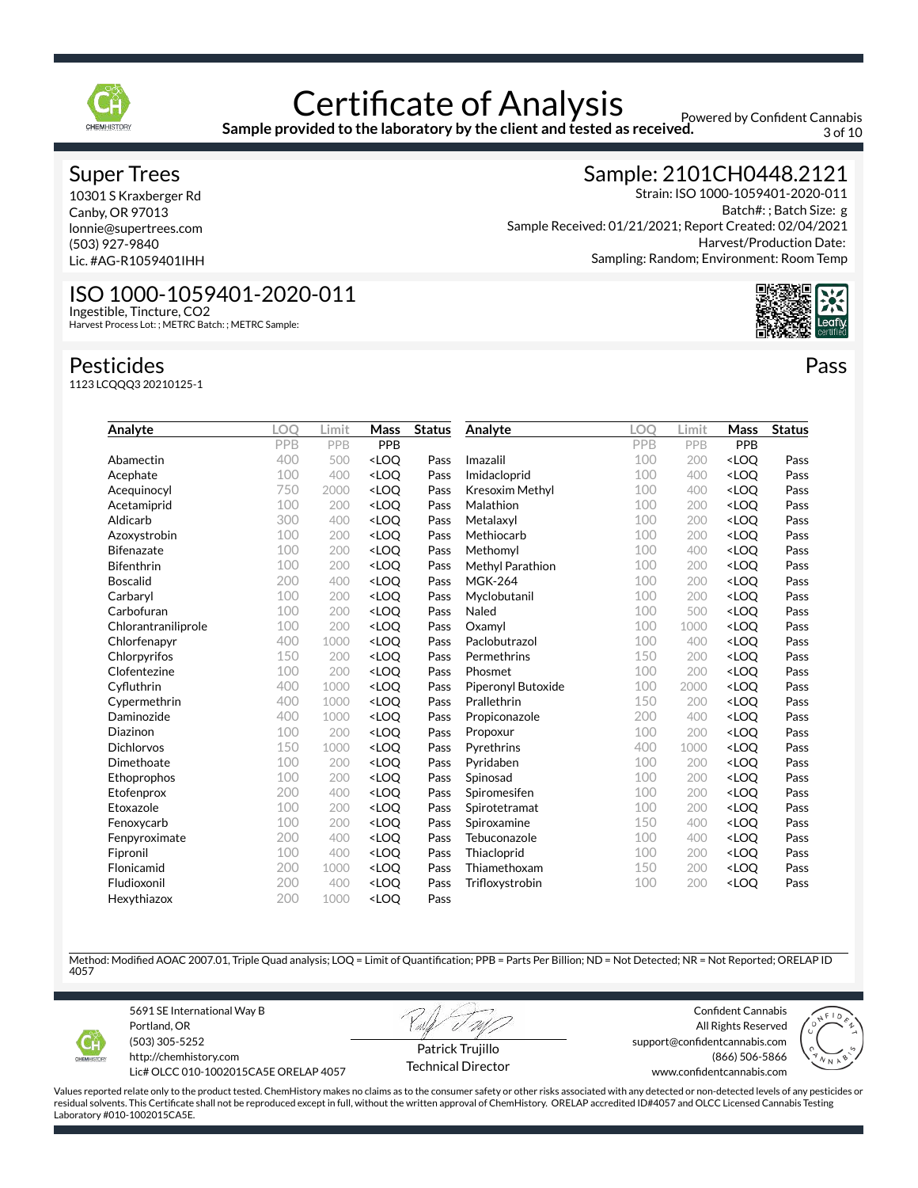

**Sample provided to the laboratory by the client and tested as received.**

Powered by Confident Cannabis 3 of 10

### Super Trees

10301 S Kraxberger Rd Canby, OR 97013 lonnie@supertrees.com (503) 927-9840 Lic. #AG-R1059401IHH

# Sample: 2101CH0448.2121

Strain: ISO 1000-1059401-2020-011 Batch#: ; Batch Size: g Sample Received: 01/21/2021; Report Created: 02/04/2021 Harvest/Production Date: Sampling: Random; Environment: Room Temp



Pass

# ISO 1000-1059401-2020-011

Ingestible, Tincture, CO2 Harvest Process Lot: ; METRC Batch: ; METRC Sample:

#### Pesticides

1123 LCQQQ3 20210125-1

| Analyte             | LOO | Limit | Mass                                                                                                                          | <b>Status</b> | Analyte            | <b>LOO</b> | Limit | Mass                             | <b>Status</b> |
|---------------------|-----|-------|-------------------------------------------------------------------------------------------------------------------------------|---------------|--------------------|------------|-------|----------------------------------|---------------|
|                     | PPB | PPB   | PPB                                                                                                                           |               |                    | PPB        | PPB   | PPB                              |               |
| Abamectin           | 400 | 500   | <loo< td=""><td>Pass</td><td>Imazalil</td><td>100</td><td>200</td><td><loq< td=""><td>Pass</td></loq<></td></loo<>            | Pass          | Imazalil           | 100        | 200   | <loq< td=""><td>Pass</td></loq<> | Pass          |
| Acephate            | 100 | 400   | <loq< td=""><td>Pass</td><td>Imidacloprid</td><td>100</td><td>400</td><td><loq< td=""><td>Pass</td></loq<></td></loq<>        | Pass          | Imidacloprid       | 100        | 400   | <loq< td=""><td>Pass</td></loq<> | Pass          |
| Acequinocyl         | 750 | 2000  | <loq< td=""><td>Pass</td><td>Kresoxim Methyl</td><td>100</td><td>400</td><td><loo< td=""><td>Pass</td></loo<></td></loq<>     | Pass          | Kresoxim Methyl    | 100        | 400   | <loo< td=""><td>Pass</td></loo<> | Pass          |
| Acetamiprid         | 100 | 200   | <loq< td=""><td>Pass</td><td>Malathion</td><td>100</td><td>200</td><td><loq< td=""><td>Pass</td></loq<></td></loq<>           | Pass          | Malathion          | 100        | 200   | <loq< td=""><td>Pass</td></loq<> | Pass          |
| Aldicarb            | 300 | 400   | <loo< td=""><td>Pass</td><td>Metalaxyl</td><td>100</td><td>200</td><td><loq< td=""><td>Pass</td></loq<></td></loo<>           | Pass          | Metalaxyl          | 100        | 200   | <loq< td=""><td>Pass</td></loq<> | Pass          |
| Azoxystrobin        | 100 | 200   | <loq< td=""><td>Pass</td><td>Methiocarb</td><td>100</td><td>200</td><td><loq< td=""><td>Pass</td></loq<></td></loq<>          | Pass          | Methiocarb         | 100        | 200   | <loq< td=""><td>Pass</td></loq<> | Pass          |
| <b>Bifenazate</b>   | 100 | 200   | <loq< td=""><td>Pass</td><td>Methomyl</td><td>100</td><td>400</td><td><loq< td=""><td>Pass</td></loq<></td></loq<>            | Pass          | Methomyl           | 100        | 400   | <loq< td=""><td>Pass</td></loq<> | Pass          |
| <b>Bifenthrin</b>   | 100 | 200   | <loq< td=""><td>Pass</td><td>Methyl Parathion</td><td>100</td><td>200</td><td><loq< td=""><td>Pass</td></loq<></td></loq<>    | Pass          | Methyl Parathion   | 100        | 200   | <loq< td=""><td>Pass</td></loq<> | Pass          |
| <b>Boscalid</b>     | 200 | 400   | <loo< td=""><td>Pass</td><td><b>MGK-264</b></td><td>100</td><td>200</td><td><loo< td=""><td>Pass</td></loo<></td></loo<>      | Pass          | <b>MGK-264</b>     | 100        | 200   | <loo< td=""><td>Pass</td></loo<> | Pass          |
| Carbaryl            | 100 | 200   | <loq< td=""><td>Pass</td><td>Myclobutanil</td><td>100</td><td>200</td><td><loq< td=""><td>Pass</td></loq<></td></loq<>        | Pass          | Myclobutanil       | 100        | 200   | <loq< td=""><td>Pass</td></loq<> | Pass          |
| Carbofuran          | 100 | 200   | <loo< td=""><td>Pass</td><td>Naled</td><td>100</td><td>500</td><td><loo< td=""><td>Pass</td></loo<></td></loo<>               | Pass          | Naled              | 100        | 500   | <loo< td=""><td>Pass</td></loo<> | Pass          |
| Chlorantraniliprole | 100 | 200   | <loq< td=""><td>Pass</td><td>Oxamyl</td><td>100</td><td>1000</td><td><loq< td=""><td>Pass</td></loq<></td></loq<>             | Pass          | Oxamyl             | 100        | 1000  | <loq< td=""><td>Pass</td></loq<> | Pass          |
| Chlorfenapyr        | 400 | 1000  | <loo< td=""><td>Pass</td><td>Paclobutrazol</td><td>100</td><td>400</td><td><loq< td=""><td>Pass</td></loq<></td></loo<>       | Pass          | Paclobutrazol      | 100        | 400   | <loq< td=""><td>Pass</td></loq<> | Pass          |
| Chlorpyrifos        | 150 | 200   | <loq< td=""><td>Pass</td><td>Permethrins</td><td>150</td><td>200</td><td><loq< td=""><td>Pass</td></loq<></td></loq<>         | Pass          | Permethrins        | 150        | 200   | <loq< td=""><td>Pass</td></loq<> | Pass          |
| Clofentezine        | 100 | 200   | <loq< td=""><td>Pass</td><td>Phosmet</td><td>100</td><td>200</td><td><loq< td=""><td>Pass</td></loq<></td></loq<>             | Pass          | Phosmet            | 100        | 200   | <loq< td=""><td>Pass</td></loq<> | Pass          |
| Cyfluthrin          | 400 | 1000  | <loo< td=""><td>Pass</td><td>Piperonyl Butoxide</td><td>100</td><td>2000</td><td><loo< td=""><td>Pass</td></loo<></td></loo<> | Pass          | Piperonyl Butoxide | 100        | 2000  | <loo< td=""><td>Pass</td></loo<> | Pass          |
| Cypermethrin        | 400 | 1000  | <loq< td=""><td>Pass</td><td>Prallethrin</td><td>150</td><td>200</td><td><loq< td=""><td>Pass</td></loq<></td></loq<>         | Pass          | Prallethrin        | 150        | 200   | <loq< td=""><td>Pass</td></loq<> | Pass          |
| Daminozide          | 400 | 1000  | <loq< td=""><td>Pass</td><td>Propiconazole</td><td>200</td><td>400</td><td><loq< td=""><td>Pass</td></loq<></td></loq<>       | Pass          | Propiconazole      | 200        | 400   | <loq< td=""><td>Pass</td></loq<> | Pass          |
| Diazinon            | 100 | 200   | <loq< td=""><td>Pass</td><td>Propoxur</td><td>100</td><td>200</td><td><loq< td=""><td>Pass</td></loq<></td></loq<>            | Pass          | Propoxur           | 100        | 200   | <loq< td=""><td>Pass</td></loq<> | Pass          |
| <b>Dichlorvos</b>   | 150 | 1000  | <loo< td=""><td>Pass</td><td>Pyrethrins</td><td>400</td><td>1000</td><td><loq< td=""><td>Pass</td></loq<></td></loo<>         | Pass          | Pyrethrins         | 400        | 1000  | <loq< td=""><td>Pass</td></loq<> | Pass          |
| Dimethoate          | 100 | 200   | <loq< td=""><td>Pass</td><td>Pyridaben</td><td>100</td><td>200</td><td><loq< td=""><td>Pass</td></loq<></td></loq<>           | Pass          | Pyridaben          | 100        | 200   | <loq< td=""><td>Pass</td></loq<> | Pass          |
| Ethoprophos         | 100 | 200   | <loq< td=""><td>Pass</td><td>Spinosad</td><td>100</td><td>200</td><td><loq< td=""><td>Pass</td></loq<></td></loq<>            | Pass          | Spinosad           | 100        | 200   | <loq< td=""><td>Pass</td></loq<> | Pass          |
| Etofenprox          | 200 | 400   | <loq< td=""><td>Pass</td><td>Spiromesifen</td><td>100</td><td>200</td><td><loo< td=""><td>Pass</td></loo<></td></loq<>        | Pass          | Spiromesifen       | 100        | 200   | <loo< td=""><td>Pass</td></loo<> | Pass          |
| Etoxazole           | 100 | 200   | <loq< td=""><td>Pass</td><td>Spirotetramat</td><td>100</td><td>200</td><td><loq< td=""><td>Pass</td></loq<></td></loq<>       | Pass          | Spirotetramat      | 100        | 200   | <loq< td=""><td>Pass</td></loq<> | Pass          |
| Fenoxycarb          | 100 | 200   | <loq< td=""><td>Pass</td><td>Spiroxamine</td><td>150</td><td>400</td><td><loq< td=""><td>Pass</td></loq<></td></loq<>         | Pass          | Spiroxamine        | 150        | 400   | <loq< td=""><td>Pass</td></loq<> | Pass          |
| Fenpyroximate       | 200 | 400   | <loo< td=""><td>Pass</td><td>Tebuconazole</td><td>100</td><td>400</td><td><loo< td=""><td>Pass</td></loo<></td></loo<>        | Pass          | Tebuconazole       | 100        | 400   | <loo< td=""><td>Pass</td></loo<> | Pass          |
| Fipronil            | 100 | 400   | <loq< td=""><td>Pass</td><td>Thiacloprid</td><td>100</td><td>200</td><td><loq< td=""><td>Pass</td></loq<></td></loq<>         | Pass          | Thiacloprid        | 100        | 200   | <loq< td=""><td>Pass</td></loq<> | Pass          |
| Flonicamid          | 200 | 1000  | <loq< td=""><td>Pass</td><td>Thiamethoxam</td><td>150</td><td>200</td><td><loq< td=""><td>Pass</td></loq<></td></loq<>        | Pass          | Thiamethoxam       | 150        | 200   | <loq< td=""><td>Pass</td></loq<> | Pass          |
| Fludioxonil         | 200 | 400   | <loq< td=""><td>Pass</td><td>Trifloxystrobin</td><td>100</td><td>200</td><td><loq< td=""><td>Pass</td></loq<></td></loq<>     | Pass          | Trifloxystrobin    | 100        | 200   | <loq< td=""><td>Pass</td></loq<> | Pass          |
| Hexythiazox         | 200 | 1000  | <loq< td=""><td>Pass</td><td></td><td></td><td></td><td></td><td></td></loq<>                                                 | Pass          |                    |            |       |                                  |               |

Method: Modified AOAC 2007.01, Triple Quad analysis; LOQ = Limit of Quantification; PPB = Parts Per Billion; ND = Not Detected; NR = Not Reported; ORELAP ID 4057



5691 SE International Way B Portland, OR (503) 305-5252 http://chemhistory.com

Lic# OLCC 010-1002015CA5E ORELAP 4057

Patrick Trujillo Technical Director

Confident Cannabis All Rights Reserved support@confidentcannabis.com (866) 506-5866 www.confidentcannabis.com

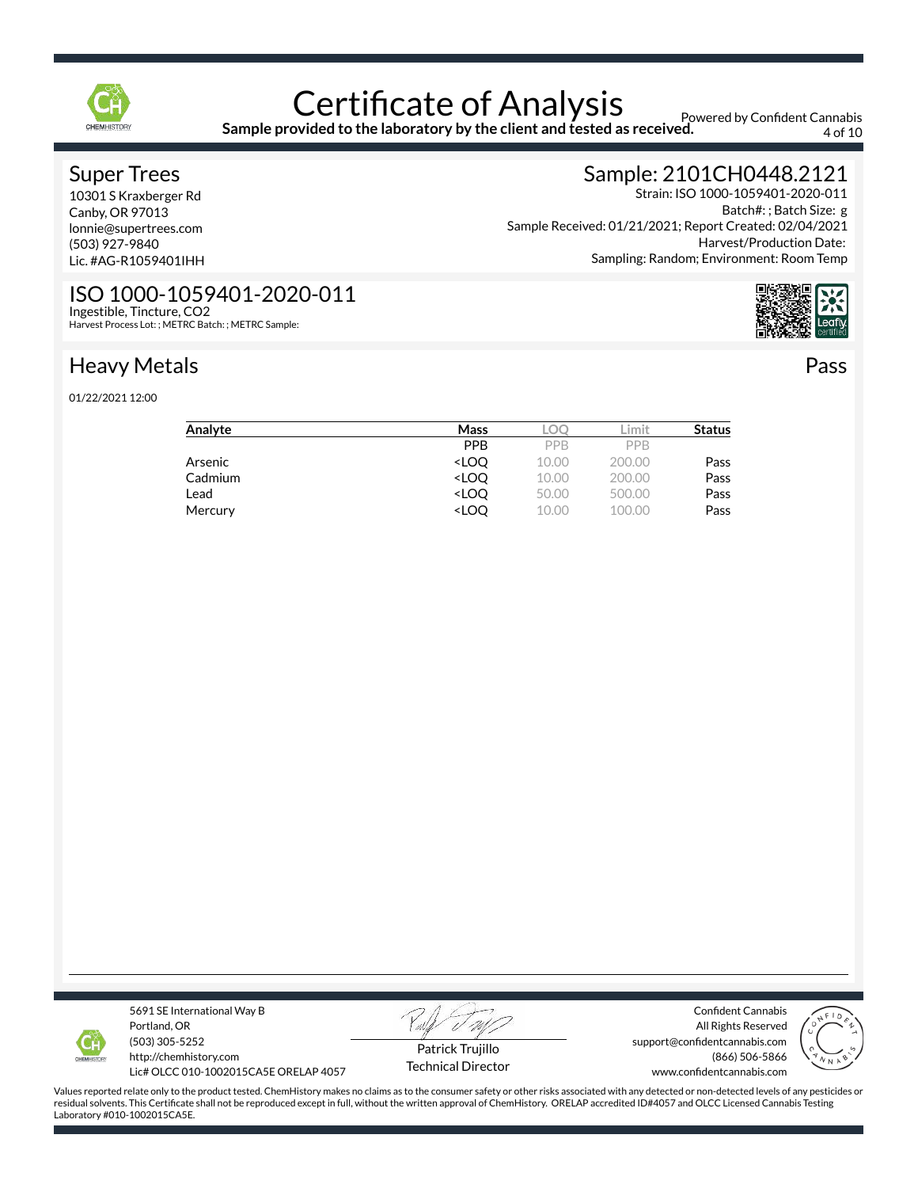

**Sample provided to the laboratory by the client and tested as received.**

Powered by Confident Cannabis 4 of 10

### Super Trees

10301 S Kraxberger Rd Canby, OR 97013 lonnie@supertrees.com (503) 927-9840 Lic. #AG-R1059401IHH

ISO 1000-1059401-2020-011

Harvest Process Lot: ; METRC Batch: ; METRC Sample:

# Sample: 2101CH0448.2121

Strain: ISO 1000-1059401-2020-011 Batch#: ; Batch Size: g Sample Received: 01/21/2021; Report Created: 02/04/2021 Harvest/Production Date: Sampling: Random; Environment: Room Temp



Pass

# Heavy Metals

Ingestible, Tincture, CO2

01/22/2021 12:00

| Analyte | Mass                                                          | LOC   | .imit  | <b>Status</b> |
|---------|---------------------------------------------------------------|-------|--------|---------------|
|         | <b>PPB</b>                                                    | PPB   | PPB    |               |
| Arsenic | <loo< td=""><td>10.00</td><td>200.00</td><td>Pass</td></loo<> | 10.00 | 200.00 | Pass          |
| Cadmium | <loo< td=""><td>10.00</td><td>200.00</td><td>Pass</td></loo<> | 10.00 | 200.00 | Pass          |
| Lead    | <loo< td=""><td>50.00</td><td>500.00</td><td>Pass</td></loo<> | 50.00 | 500.00 | Pass          |
| Mercury | <loq< td=""><td>10.00</td><td>100.00</td><td>Pass</td></loq<> | 10.00 | 100.00 | Pass          |



5691 SE International Way B Portland, OR (503) 305-5252 http://chemhistory.com

Lic# OLCC 010-1002015CA5E ORELAP 4057

Patrick Trujillo Technical Director

Confident Cannabis All Rights Reserved support@confidentcannabis.com (866) 506-5866 www.confidentcannabis.com

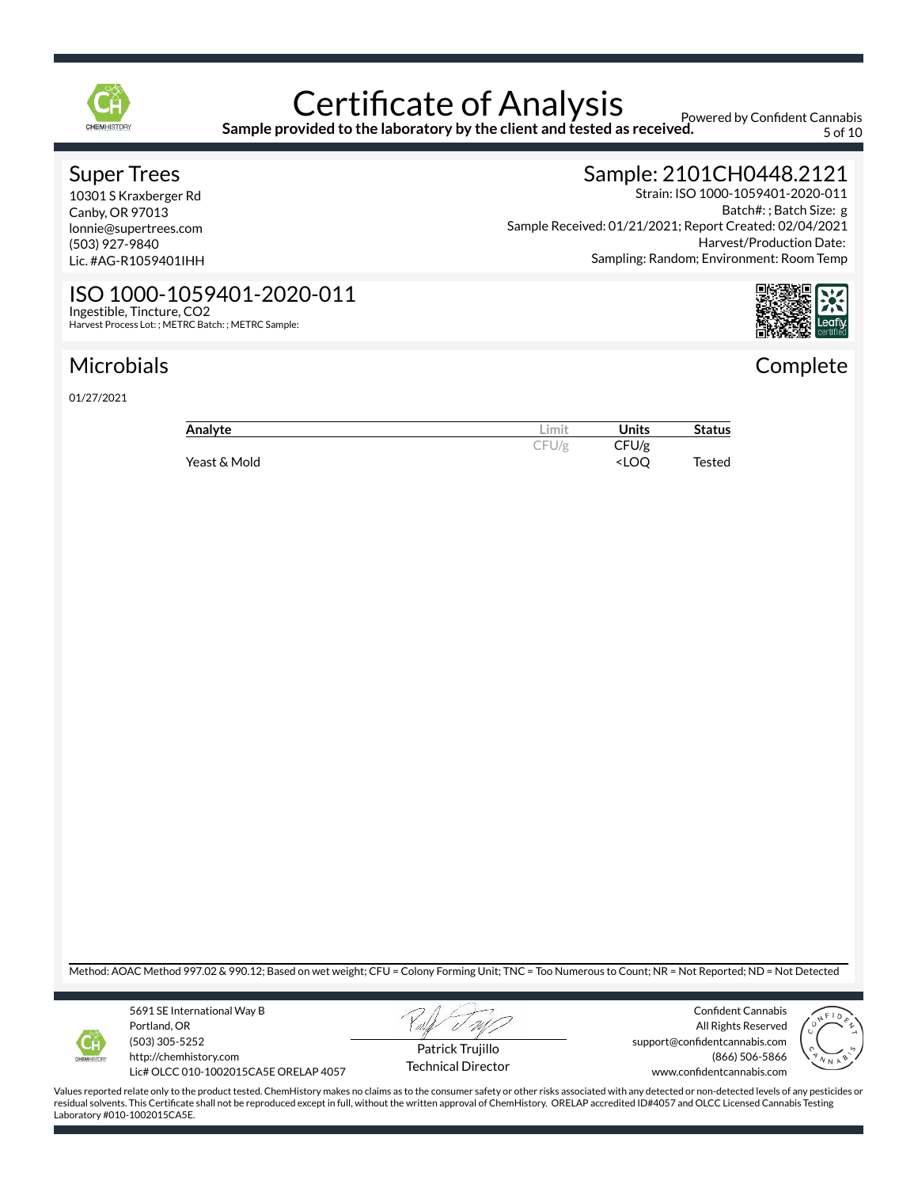

### Certificate of Analysis **Sample provided to the laboratory by the client and tested as received.**

Powered by Confident Cannabis 5 of 10

#### Super Trees

10301 S Kraxberger Rd Canby, OR 97013 lonnie@supertrees.com (503) 927-9840 Lic. #AG-R1059401IHH

# Sample: 2101CH0448.2121

Strain: ISO 1000-1059401-2020-011 Batch#: ; Batch Size: g Sample Received: 01/21/2021; Report Created: 02/04/2021 Harvest/Production Date: Sampling: Random; Environment: Room Temp



**Complete** 

#### ISO 1000-1059401-2020-011 Ingestible, Tincture, CO2 Harvest Process Lot: ; METRC Batch: ; METRC Sample:

# Microbials

01/27/2021

| Analyte      | .imit | Units                              | <b>Status</b> |
|--------------|-------|------------------------------------|---------------|
|              | CFU/g | CFU/g                              |               |
| Yeast & Mold |       | <loo< td=""><td>Tested</td></loo<> | Tested        |

Method: AOAC Method 997.02 & 990.12; Based on wet weight; CFU = Colony Forming Unit; TNC = Too Numerous to Count; NR = Not Reported; ND = Not Detected



5691 SE International Way B Portland, OR (503) 305-5252 http://chemhistory.com

Lic# OLCC 010-1002015CA5E ORELAP 4057



Confident Cannabis All Rights Reserved support@confidentcannabis.com (866) 506-5866 www.confidentcannabis.com



Values reported relate only to the product tested. ChemHistory makes no claims as to the consumer safety or other risks associated with any detected or non-detected levels of any pesticides or residual solvents. This Certificate shall not be reproduced except in full, without the written approval of ChemHistory. ORELAP accredited ID#4057 and OLCC Licensed Cannabis Testing Laboratory #010-1002015CA5E.

Technical Director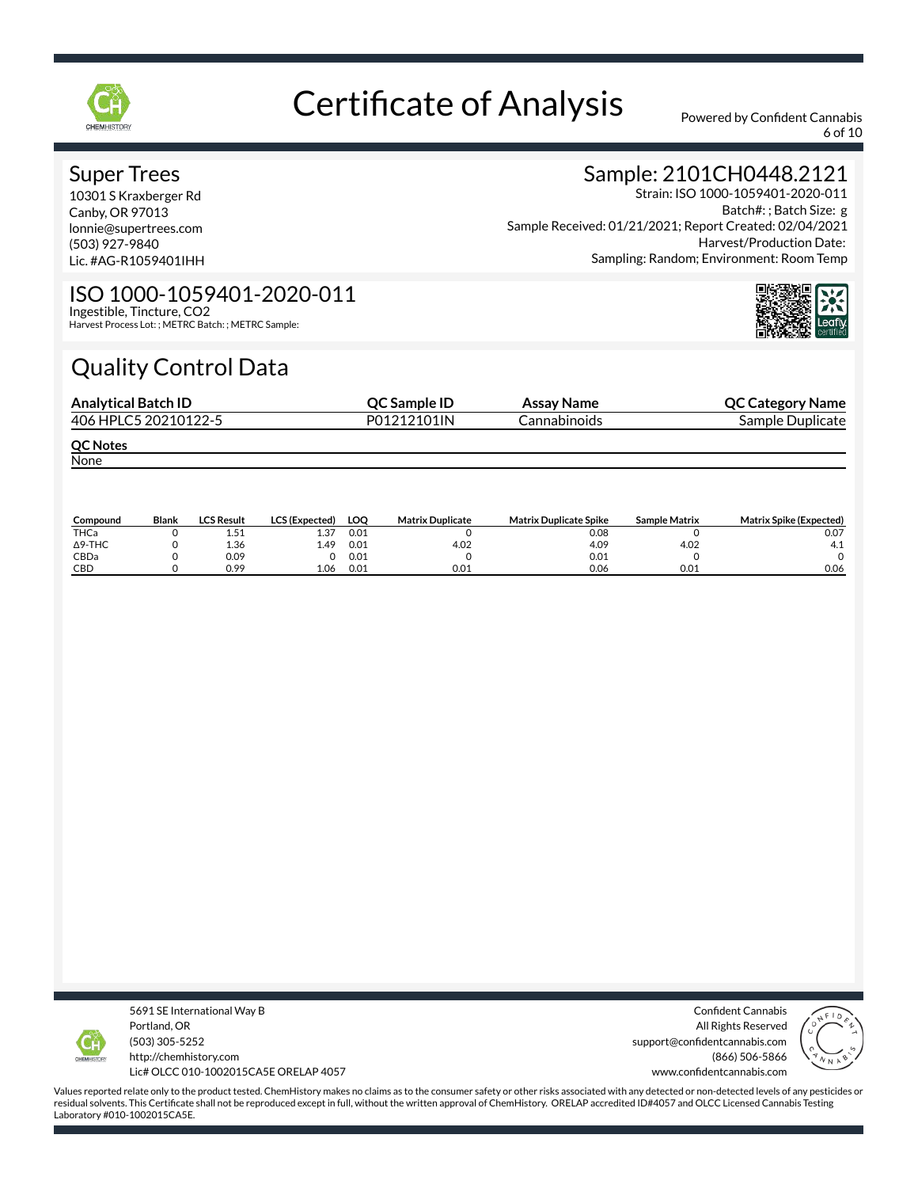

6 of 10

#### Super Trees

10301 S Kraxberger Rd Canby, OR 97013 lonnie@supertrees.com (503) 927-9840 Lic. #AG-R1059401IHH

# Sample: 2101CH0448.2121

Strain: ISO 1000-1059401-2020-011 Batch#: ; Batch Size: g Sample Received: 01/21/2021; Report Created: 02/04/2021 Harvest/Production Date: Sampling: Random; Environment: Room Temp

#### ISO 1000-1059401-2020-011 Ingestible, Tincture, CO2

Harvest Process Lot: ; METRC Batch: ; METRC Sample:

# Quality Control Data

| <b>Analytical Batch ID</b> | QC Sample ID | Assay Name   | <b>QC Category Name</b> |
|----------------------------|--------------|--------------|-------------------------|
| 406 HPLC5 20210122-5       | P01212101IN  | Cannabinoids | Sample Duplicate        |
| <b>QC Notes</b>            |              |              |                         |
| None                       |              |              |                         |

| Compound       | <b>Blank</b> | <b>LCS Result</b> | <b>LCS (Expected)</b> | LOO  | <b>Matrix Duplicate</b> | <b>Matrix Duplicate Spike</b> | <b>Sample Matrix</b> | <b>Matrix Spike (Expected)</b> |
|----------------|--------------|-------------------|-----------------------|------|-------------------------|-------------------------------|----------------------|--------------------------------|
| THCa           |              | ⊥.J⊥              | 1.37                  | 0.01 |                         | 0.08                          |                      | 0.07                           |
| $\Delta$ 9-THC |              | 1.36              | 4.49                  | 0.01 | 4.02                    | 4.09                          | 4.02                 |                                |
| CBDa           |              | 0.09              |                       | 0.01 |                         | 0.01                          |                      |                                |
| CBD            |              | 0.99              | 1.06                  | 0.01 | 0.01                    | 0.06                          | 0.01                 | 0.06                           |



5691 SE International Way B Portland, OR (503) 305-5252 http://chemhistory.com Lic# OLCC 010-1002015CA5E ORELAP 4057

Confident Cannabis All Rights Reserved support@confidentcannabis.com (866) 506-5866 www.confidentcannabis.com

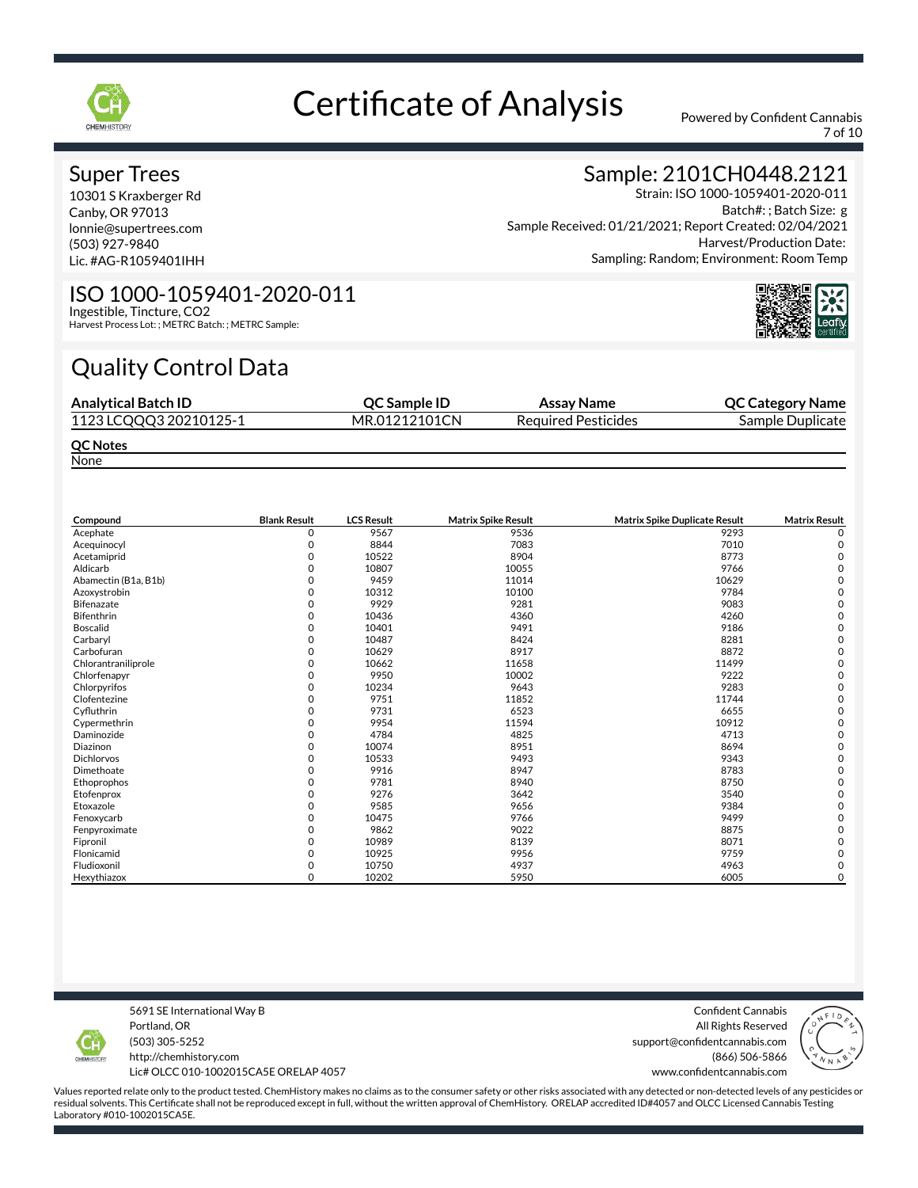

7 of 10

#### Super Trees

10301 S Kraxberger Rd Canby, OR 97013 lonnie@supertrees.com (503) 927-9840 Lic. #AG-R1059401IHH

## Sample: 2101CH0448.2121

Strain: ISO 1000-1059401-2020-011 Batch#: ; Batch Size: g Sample Received: 01/21/2021; Report Created: 02/04/2021 Harvest/Production Date: Sampling: Random; Environment: Room Temp



#### ISO 1000-1059401-2020-011 Ingestible, Tincture, CO2

Harvest Process Lot: ; METRC Batch: ; METRC Sample:

# Quality Control Data

| <b>Analytical Batch ID</b> | <b>OC Sample ID</b> | Assay Name                 | <b>QC Category Name</b> |
|----------------------------|---------------------|----------------------------|-------------------------|
| 1123 LCQQQ3 20210125-1     | MR.01212101CN       | <b>Required Pesticides</b> | Sample Duplicate        |
| <b>QC Notes</b>            |                     |                            |                         |

**None** 

| Compound             | <b>Blank Result</b> | <b>LCS Result</b> | <b>Matrix Spike Result</b> | <b>Matrix Spike Duplicate Result</b> | <b>Matrix Result</b> |
|----------------------|---------------------|-------------------|----------------------------|--------------------------------------|----------------------|
| Acephate             | 0                   | 9567              | 9536                       | 9293                                 |                      |
| Acequinocyl          |                     | 8844              | 7083                       | 7010                                 | C                    |
| Acetamiprid          | n                   | 10522             | 8904                       | 8773                                 |                      |
| Aldicarb             |                     | 10807             | 10055                      | 9766                                 |                      |
| Abamectin (B1a, B1b) |                     | 9459              | 11014                      | 10629                                |                      |
| Azoxystrobin         |                     | 10312             | 10100                      | 9784                                 |                      |
| Bifenazate           |                     | 9929              | 9281                       | 9083                                 |                      |
| Bifenthrin           | n                   | 10436             | 4360                       | 4260                                 |                      |
| <b>Boscalid</b>      |                     | 10401             | 9491                       | 9186                                 |                      |
| Carbaryl             |                     | 10487             | 8424                       | 8281                                 |                      |
| Carbofuran           | ი                   | 10629             | 8917                       | 8872                                 |                      |
| Chlorantraniliprole  |                     | 10662             | 11658                      | 11499                                |                      |
| Chlorfenapyr         | U                   | 9950              | 10002                      | 9222                                 |                      |
| Chlorpyrifos         |                     | 10234             | 9643                       | 9283                                 |                      |
| Clofentezine         |                     | 9751              | 11852                      | 11744                                |                      |
| Cyfluthrin           |                     | 9731              | 6523                       | 6655                                 |                      |
| Cypermethrin         |                     | 9954              | 11594                      | 10912                                |                      |
| Daminozide           | O                   | 4784              | 4825                       | 4713                                 | C                    |
| Diazinon             |                     | 10074             | 8951                       | 8694                                 |                      |
| <b>Dichlorvos</b>    | n                   | 10533             | 9493                       | 9343                                 |                      |
| Dimethoate           |                     | 9916              | 8947                       | 8783                                 |                      |
| Ethoprophos          |                     | 9781              | 8940                       | 8750                                 |                      |
| Etofenprox           |                     | 9276              | 3642                       | 3540                                 |                      |
| Etoxazole            |                     | 9585              | 9656                       | 9384                                 |                      |
| Fenoxycarb           | n                   | 10475             | 9766                       | 9499                                 |                      |
| Fenpyroximate        |                     | 9862              | 9022                       | 8875                                 |                      |
| Fipronil             |                     | 10989             | 8139                       | 8071                                 |                      |
| Flonicamid           | Ω                   | 10925             | 9956                       | 9759                                 |                      |
| Fludioxonil          | 0                   | 10750             | 4937                       | 4963                                 |                      |
| Hexythiazox          | $\Omega$            | 10202             | 5950                       | 6005                                 | 0                    |

5691 SE International Way B Portland, OR (503) 305-5252

http://chemhistory.com Lic# OLCC 010-1002015CA5E ORELAP 4057

Confident Cannabis All Rights Reserved support@confidentcannabis.com (866) 506-5866

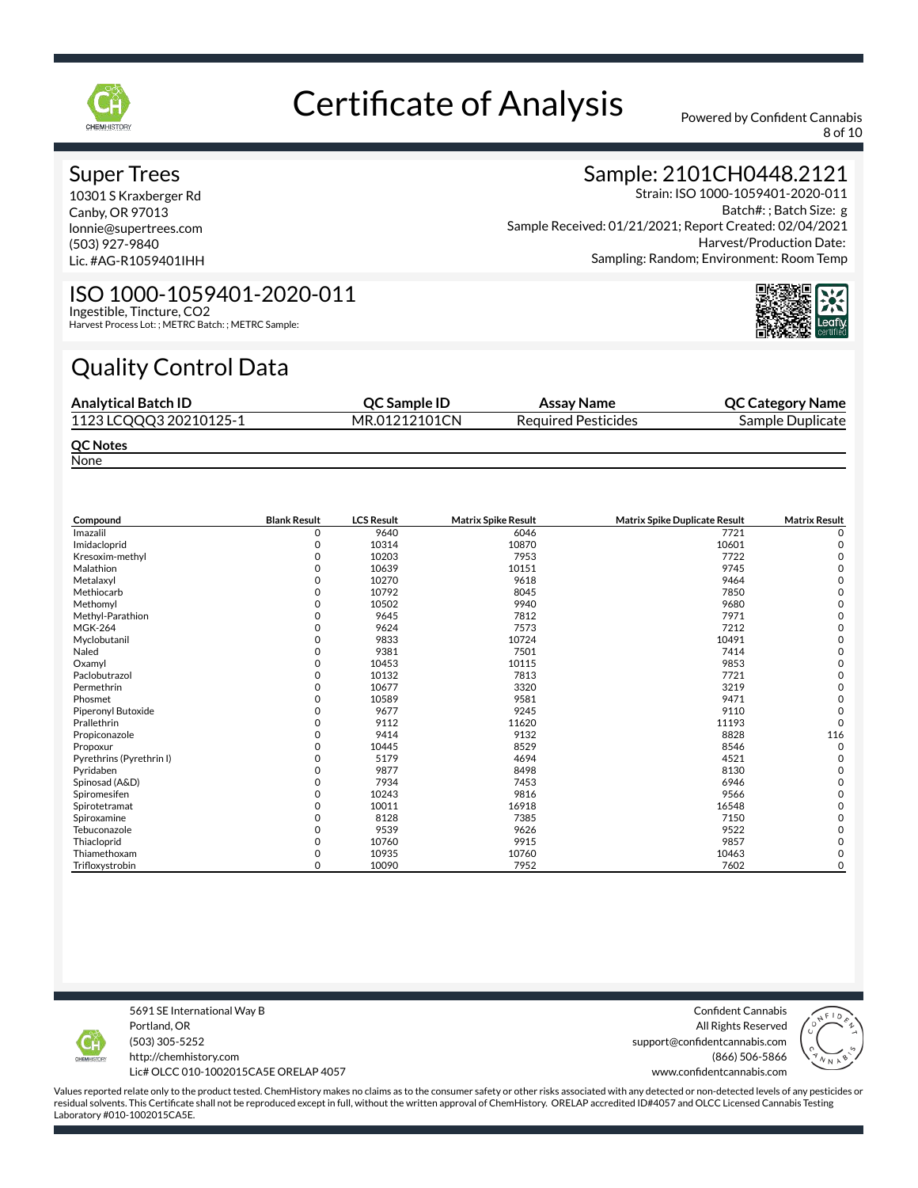

8 of 10

#### Super Trees

10301 S Kraxberger Rd Canby, OR 97013 lonnie@supertrees.com (503) 927-9840 Lic. #AG-R1059401IHH

### Sample: 2101CH0448.2121

Strain: ISO 1000-1059401-2020-011 Batch#: ; Batch Size: g Sample Received: 01/21/2021; Report Created: 02/04/2021 Harvest/Production Date: Sampling: Random; Environment: Room Temp

#### ISO 1000-1059401-2020-011 Ingestible, Tincture, CO2

Harvest Process Lot: ; METRC Batch: ; METRC Sample:

# Quality Control Data

| <b>Analytical Batch ID</b> | <b>OC Sample ID</b> | Assay Name                 | <b>QC Category Name</b> |
|----------------------------|---------------------|----------------------------|-------------------------|
| 1123 LCQQQ3 20210125-1     | MR.01212101CN       | <b>Required Pesticides</b> | Sample Duplicate        |
| <b>QC Notes</b>            |                     |                            |                         |

None

| Compound                 | <b>Blank Result</b> | <b>LCS Result</b> | <b>Matrix Spike Result</b> | Matrix Spike Duplicate Result | <b>Matrix Result</b> |
|--------------------------|---------------------|-------------------|----------------------------|-------------------------------|----------------------|
| Imazalil                 | 0                   | 9640              | 6046                       | 7721                          | 0                    |
| Imidacloprid             | O                   | 10314             | 10870                      | 10601                         | C                    |
| Kresoxim-methyl          |                     | 10203             | 7953                       | 7722                          |                      |
| Malathion                |                     | 10639             | 10151                      | 9745                          |                      |
| Metalaxyl                |                     | 10270             | 9618                       | 9464                          |                      |
| Methiocarb               | O                   | 10792             | 8045                       | 7850                          |                      |
| Methomyl                 |                     | 10502             | 9940                       | 9680                          |                      |
| Methyl-Parathion         |                     | 9645              | 7812                       | 7971                          |                      |
| <b>MGK-264</b>           |                     | 9624              | 7573                       | 7212                          |                      |
| Myclobutanil             | 0                   | 9833              | 10724                      | 10491                         |                      |
| Naled                    | O                   | 9381              | 7501                       | 7414                          |                      |
| Oxamyl                   |                     | 10453             | 10115                      | 9853                          |                      |
| Paclobutrazol            | O                   | 10132             | 7813                       | 7721                          |                      |
| Permethrin               | 0                   | 10677             | 3320                       | 3219                          |                      |
| Phosmet                  |                     | 10589             | 9581                       | 9471                          |                      |
| Piperonyl Butoxide       |                     | 9677              | 9245                       | 9110                          |                      |
| Prallethrin              | O                   | 9112              | 11620                      | 11193                         | $\Omega$             |
| Propiconazole            |                     | 9414              | 9132                       | 8828                          | 116                  |
| Propoxur                 | O                   | 10445             | 8529                       | 8546                          | $\Omega$             |
| Pyrethrins (Pyrethrin I) |                     | 5179              | 4694                       | 4521                          |                      |
| Pyridaben                | O                   | 9877              | 8498                       | 8130                          |                      |
| Spinosad (A&D)           |                     | 7934              | 7453                       | 6946                          |                      |
| Spiromesifen             | O                   | 10243             | 9816                       | 9566                          |                      |
| Spirotetramat            |                     | 10011             | 16918                      | 16548                         |                      |
| Spiroxamine              | O                   | 8128              | 7385                       | 7150                          |                      |
| Tebuconazole             |                     | 9539              | 9626                       | 9522                          |                      |
| Thiacloprid              | $\Omega$            | 10760             | 9915                       | 9857                          |                      |
| Thiamethoxam             | 0                   | 10935             | 10760                      | 10463                         |                      |
| Trifloxystrobin          | 0                   | 10090             | 7952                       | 7602                          | 0                    |

5691 SE International Way B Portland, OR (503) 305-5252

http://chemhistory.com Lic# OLCC 010-1002015CA5E ORELAP 4057

Confident Cannabis All Rights Reserved support@confidentcannabis.com (866) 506-5866

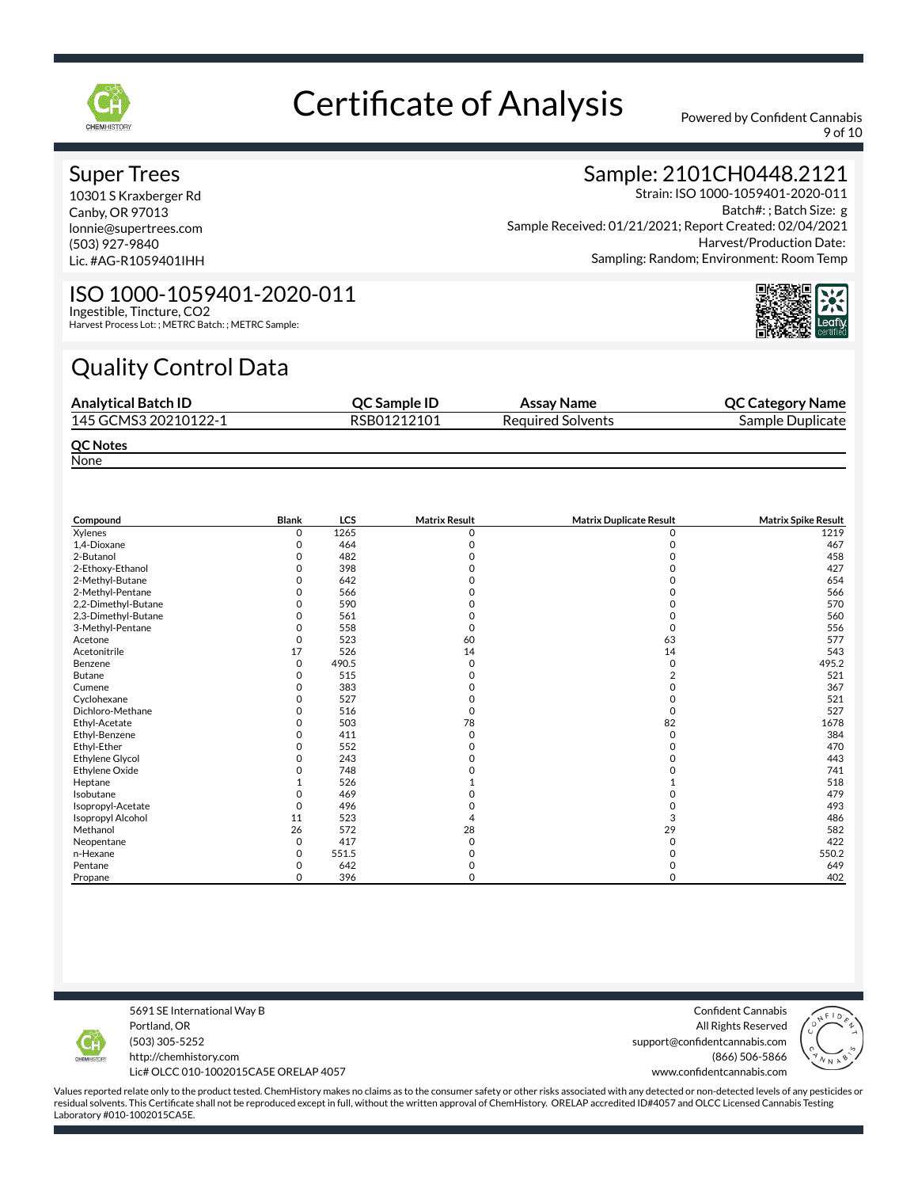

9 of 10

#### Super Trees

10301 S Kraxberger Rd Canby, OR 97013 lonnie@supertrees.com (503) 927-9840 Lic. #AG-R1059401IHH

## Sample: 2101CH0448.2121

Strain: ISO 1000-1059401-2020-011 Batch#: ; Batch Size: g Sample Received: 01/21/2021; Report Created: 02/04/2021 Harvest/Production Date: Sampling: Random; Environment: Room Temp



#### ISO 1000-1059401-2020-011 Ingestible, Tincture, CO2

Harvest Process Lot: ; METRC Batch: ; METRC Sample:

# Quality Control Data

| <b>Analytical Batch ID</b> | <b>OC Sample ID</b> | Assay Name               | <b>QC Category Name</b> |
|----------------------------|---------------------|--------------------------|-------------------------|
| 145 GCMS3 20210122-1       | RSB01212101         | <b>Required Solvents</b> | Sample Duplicate        |
| <b>QC Notes</b>            |                     |                          |                         |

None

| Compound                 | Blank    | <b>LCS</b> | <b>Matrix Result</b> | <b>Matrix Duplicate Result</b> | <b>Matrix Spike Result</b> |
|--------------------------|----------|------------|----------------------|--------------------------------|----------------------------|
| Xylenes                  | 0        | 1265       | n                    |                                | 1219                       |
| 1,4-Dioxane              |          | 464        |                      |                                | 467                        |
| 2-Butanol                | O        | 482        |                      |                                | 458                        |
| 2-Ethoxy-Ethanol         |          | 398        |                      |                                | 427                        |
| 2-Methyl-Butane          | ი        | 642        |                      |                                | 654                        |
| 2-Methyl-Pentane         |          | 566        |                      |                                | 566                        |
| 2,2-Dimethyl-Butane      |          | 590        |                      |                                | 570                        |
| 2,3-Dimethyl-Butane      | 0        | 561        |                      |                                | 560                        |
| 3-Methyl-Pentane         |          | 558        |                      |                                | 556                        |
| Acetone                  | 0        | 523        | 60                   | 63                             | 577                        |
| Acetonitrile             | 17       | 526        | 14                   | 14                             | 543                        |
| Benzene                  | 0        | 490.5      |                      | 0                              | 495.2                      |
| <b>Butane</b>            | O        | 515        |                      |                                | 521                        |
| Cumene                   | O        | 383        |                      |                                | 367                        |
| Cyclohexane              | O        | 527        |                      |                                | 521                        |
| Dichloro-Methane         |          | 516        |                      | 0                              | 527                        |
| Ethyl-Acetate            |          | 503        | 78                   | 82                             | 1678                       |
| Ethyl-Benzene            | O        | 411        | O                    | $\Omega$                       | 384                        |
| Ethyl-Ether              | 0        | 552        |                      |                                | 470                        |
| Ethylene Glycol          | 0        | 243        |                      |                                | 443                        |
| Ethylene Oxide           |          | 748        |                      |                                | 741                        |
| Heptane                  |          | 526        |                      |                                | 518                        |
| Isobutane                |          | 469        |                      |                                | 479                        |
| Isopropyl-Acetate        |          | 496        |                      |                                | 493                        |
| <b>Isopropyl Alcohol</b> | 11       | 523        |                      | 3                              | 486                        |
| Methanol                 | 26       | 572        | 28                   | 29                             | 582                        |
| Neopentane               | $\Omega$ | 417        |                      |                                | 422                        |
| n-Hexane                 | 0        | 551.5      |                      |                                | 550.2                      |
| Pentane                  | 0        | 642        |                      |                                | 649                        |
| Propane                  | 0        | 396        | 0                    | 0                              | 402                        |

5691 SE International Way B Portland, OR (503) 305-5252

http://chemhistory.com Lic# OLCC 010-1002015CA5E ORELAP 4057

Confident Cannabis All Rights Reserved support@confidentcannabis.com (866) 506-5866